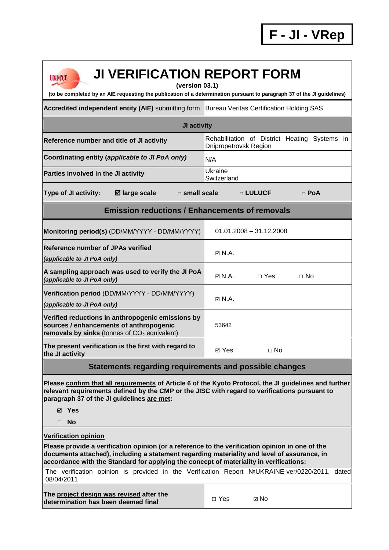| <b>JI VERIFICATION REPORT FORM</b><br><b>UNFCCC</b><br>(version 03.1)<br>(to be completed by an AIE requesting the publication of a determination pursuant to paragraph 37 of the JI guidelines)                                                                                         |                                                                        |  |  |  |
|------------------------------------------------------------------------------------------------------------------------------------------------------------------------------------------------------------------------------------------------------------------------------------------|------------------------------------------------------------------------|--|--|--|
| Accredited independent entity (AIE) submitting form Bureau Veritas Certification Holding SAS                                                                                                                                                                                             |                                                                        |  |  |  |
| JI activity                                                                                                                                                                                                                                                                              |                                                                        |  |  |  |
| Reference number and title of JI activity                                                                                                                                                                                                                                                | Rehabilitation of District Heating Systems in<br>Dnipropetrovsk Region |  |  |  |
| Coordinating entity (applicable to JI PoA only)                                                                                                                                                                                                                                          | N/A                                                                    |  |  |  |
| Parties involved in the JI activity                                                                                                                                                                                                                                                      | Ukraine<br>Switzerland                                                 |  |  |  |
| <b>Type of JI activity:</b><br><b>Ø</b> large scale<br>□ small scale                                                                                                                                                                                                                     | □ LULUCF<br>$\Box$ PoA                                                 |  |  |  |
| <b>Emission reductions / Enhancements of removals</b>                                                                                                                                                                                                                                    |                                                                        |  |  |  |
| Monitoring period(s) (DD/MM/YYYY - DD/MM/YYYY)                                                                                                                                                                                                                                           | $01.01.2008 - 31.12.2008$                                              |  |  |  |
| <b>Reference number of JPAs verified</b>                                                                                                                                                                                                                                                 | $\boxtimes$ N.A.                                                       |  |  |  |
| (applicable to JI PoA only)                                                                                                                                                                                                                                                              |                                                                        |  |  |  |
| A sampling approach was used to verify the JI PoA<br>(applicable to JI PoA only)                                                                                                                                                                                                         | $\boxtimes$ N.A.<br>$\Box$ Yes<br>$\Box$ No                            |  |  |  |
| Verification period (DD/MM/YYYY - DD/MM/YYYY)<br>(applicable to JI PoA only)                                                                                                                                                                                                             | $\boxtimes$ N.A.                                                       |  |  |  |
| Verified reductions in anthropogenic emissions by<br>sources / enhancements of anthropogenic<br>removals by sinks (tonnes of $CO2$ equivalent)                                                                                                                                           | 53642                                                                  |  |  |  |
| The present verification is the first with regard to<br>the JI activity                                                                                                                                                                                                                  | ⊠ Yes<br>$\Box$ No                                                     |  |  |  |
| Statements regarding requirements and possible changes                                                                                                                                                                                                                                   |                                                                        |  |  |  |
| Please confirm that all requirements of Article 6 of the Kyoto Protocol, the JI guidelines and further<br>relevant requirements defined by the CMP or the JISC with regard to verifications pursuant to<br>paragraph 37 of the JI guidelines are met:<br>⊠ Yes<br><b>No</b><br>П         |                                                                        |  |  |  |
| <b>Verification opinion</b>                                                                                                                                                                                                                                                              |                                                                        |  |  |  |
| Please provide a verification opinion (or a reference to the verification opinion in one of the<br>documents attached), including a statement regarding materiality and level of assurance, in<br>accordance with the Standard for applying the concept of materiality in verifications: |                                                                        |  |  |  |
| The verification opinion is provided in the Verification Report NºUKRAINE-ver/0220/2011, dated<br>08/04/2011                                                                                                                                                                             |                                                                        |  |  |  |
| The project design was revised after the<br>determination has been deemed final                                                                                                                                                                                                          | $\Box$ Yes<br>⊠ No                                                     |  |  |  |